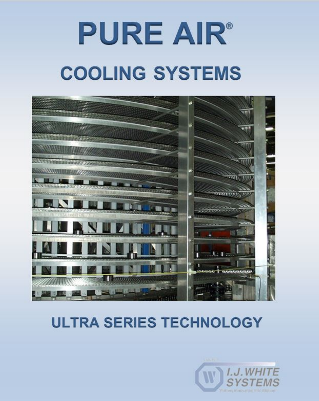# **PURE AIR® COOLING SYSTEMS**



### **ULTRA SERIES TECHNOLOGY**

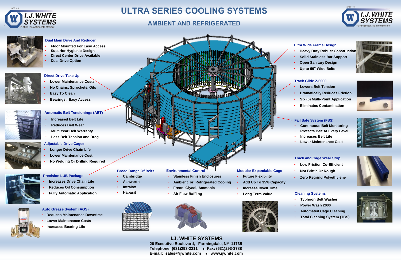`





#### **I.J. WHITE SYSTEMS 20 Executive Boulevard, Farmingdale, NY 11735 Telephone: (631)293-2211 Fax: (631)293-3788 E-mail: sales@ijwhite.com www.ijwhite.com**

#### **Fail Safe System (FSS)**

- **Continuous Belt Monitoring**
- **Protects Belt At Every Level**
- **Increases Belt Life**
- **Lower Maintenance Cost**



## **ULTRA SERIES COOLING SYSTEMS**

### **AMBIENT AND REFRIGERATED**



#### **Modular Expandable Cage**

- **Future Flexibility**
- **Add Up To 35% Capacity**
- **Increase Dwell Time**
- **Long Term Value**

![](_page_1_Picture_44.jpeg)

![](_page_1_Picture_45.jpeg)

#### **Environmental Control**

- **Stainless Finish Enclosures**
- **Ambient or Refrigerated Cooling**
- **Freon, Glycol, Ammonia**
- **Air Flow Baffling**

![](_page_1_Picture_37.jpeg)

#### **Track and Cage Wear Strip**

- **Low Friction Co-Efficient**
- **Not Brittle Or Rough**
- **Zero Regrind Polyethylene**

#### **Cleaning Systems**

- **Typhoon Belt Washer**
- **Power Wash 2000**
- **Automated Cage Cleaning**
- **Total Cleaning System (TCS)**

![](_page_1_Picture_80.jpeg)

![](_page_1_Picture_81.jpeg)

![](_page_1_Picture_82.jpeg)

![](_page_1_Picture_83.jpeg)

#### **Dual Main Drive And Reducer**

- **Floor Mounted For Easy Access**
- **Superior Hygienic Design**
- **Direct Center Drive Available**
- **Dual Drive Option**

![](_page_1_Picture_9.jpeg)

#### **Ultra Wide Frame Design**

- **Heavy Duty Robust Construction**
- **Solid Stainless Bar Support**
- **Open Sanitary Design**
- **Up to 60" Wide Belts**

#### **Direct Drive Take Up**

- **Lower Maintenance Costs**
- **No Chains, Sprockets, Oils**
- **Easy To Clean**
- **Bearings: Easy Access**

#### **Broad Range Of Belts**

- **Cambridge**
- **Ashworth**
- **Intralox**
- **Habasit**

![](_page_1_Picture_31.jpeg)

#### **Track Glide Z-6000**

- **Lowers Belt Tension**
- **Dramatically Reduces Friction**
- **Six (6) Multi-Point Application**
- **Eliminates Contamination**

#### **Adjustable Drive Cage®**

- **Longer Drive Chain Life**
- **Lower Maintenance Cost**
- **No Welding Or Drilling Required**

![](_page_1_Picture_46.jpeg)

![](_page_1_Picture_47.jpeg)

![](_page_1_Picture_48.jpeg)

![](_page_1_Picture_49.jpeg)

#### **Precision LUB Package**

- **Increases Drive Chain Life**
- **Reduces Oil Consumption**
- **Fully Automatic Application**

![](_page_1_Picture_50.jpeg)

- **Multi Year Belt Warranty**
- **Less Belt Tension and Drag**

#### **Automatic Belt Tensioning® (ABT)**